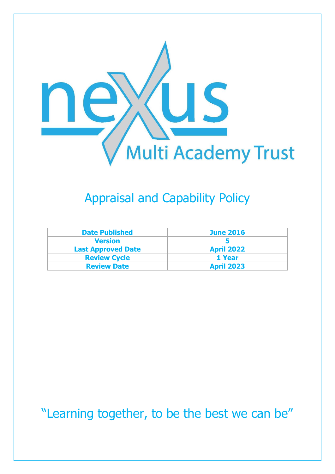

## Appraisal and Capability Policy

| <b>Date Published</b>     | <b>June 2016</b>  |
|---------------------------|-------------------|
| <b>Version</b>            |                   |
| <b>Last Approved Date</b> | <b>April 2022</b> |
| <b>Review Cycle</b>       | 1 Year            |
| <b>Review Date</b>        | <b>April 2023</b> |

"Learning together, to be the best we can be"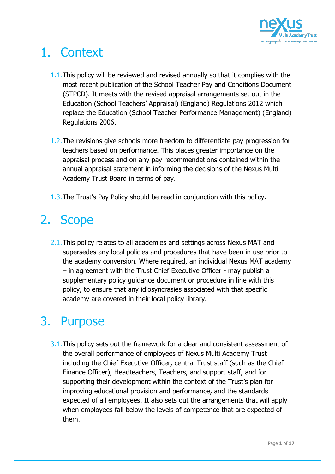

# 1. Context

- 1.1.This policy will be reviewed and revised annually so that it complies with the most recent publication of the School Teacher Pay and Conditions Document (STPCD). It meets with the revised appraisal arrangements set out in the Education (School Teachers' Appraisal) (England) Regulations 2012 which replace the Education (School Teacher Performance Management) (England) Regulations 2006.
- 1.2.The revisions give schools more freedom to differentiate pay progression for teachers based on performance. This places greater importance on the appraisal process and on any pay recommendations contained within the annual appraisal statement in informing the decisions of the Nexus Multi Academy Trust Board in terms of pay.
- 1.3.The Trust's Pay Policy should be read in conjunction with this policy.

# 2. Scope

2.1. This policy relates to all academies and settings across Nexus MAT and supersedes any local policies and procedures that have been in use prior to the academy conversion. Where required, an individual Nexus MAT academy – in agreement with the Trust Chief Executive Officer - may publish a supplementary policy guidance document or procedure in line with this policy, to ensure that any idiosyncrasies associated with that specific academy are covered in their local policy library.

### 3. Purpose

3.1. This policy sets out the framework for a clear and consistent assessment of the overall performance of employees of Nexus Multi Academy Trust including the Chief Executive Officer, central Trust staff (such as the Chief Finance Officer), Headteachers, Teachers, and support staff, and for supporting their development within the context of the Trust's plan for improving educational provision and performance, and the standards expected of all employees. It also sets out the arrangements that will apply when employees fall below the levels of competence that are expected of them.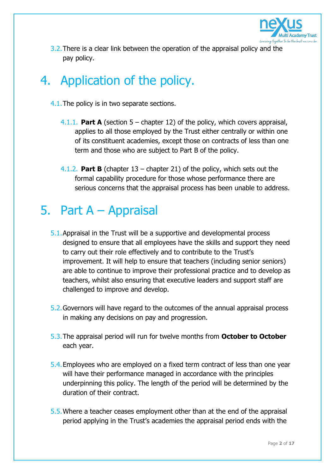

3.2. There is a clear link between the operation of the appraisal policy and the pay policy.

## 4. Application of the policy.

- 4.1.The policy is in two separate sections.
	- 4.1.1. **Part A** (section 5 chapter 12) of the policy, which covers appraisal, applies to all those employed by the Trust either centrally or within one of its constituent academies, except those on contracts of less than one term and those who are subject to Part B of the policy.
	- 4.1.2. **Part B** (chapter 13 chapter 21) of the policy, which sets out the formal capability procedure for those whose performance there are serious concerns that the appraisal process has been unable to address.

## 5. Part A – Appraisal

- 5.1.Appraisal in the Trust will be a supportive and developmental process designed to ensure that all employees have the skills and support they need to carry out their role effectively and to contribute to the Trust's improvement. It will help to ensure that teachers (including senior seniors) are able to continue to improve their professional practice and to develop as teachers, whilst also ensuring that executive leaders and support staff are challenged to improve and develop.
- 5.2.Governors will have regard to the outcomes of the annual appraisal process in making any decisions on pay and progression.
- 5.3.The appraisal period will run for twelve months from **October to October** each year.
- 5.4.Employees who are employed on a fixed term contract of less than one year will have their performance managed in accordance with the principles underpinning this policy. The length of the period will be determined by the duration of their contract.
- 5.5.Where a teacher ceases employment other than at the end of the appraisal period applying in the Trust's academies the appraisal period ends with the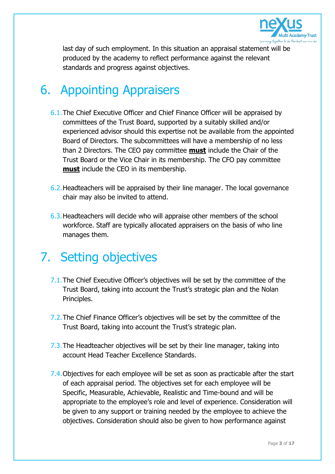

last day of such employment. In this situation an appraisal statement will be produced by the academy to reflect performance against the relevant standards and progress against objectives.

### 6. Appointing Appraisers

- 6.1.The Chief Executive Officer and Chief Finance Officer will be appraised by committees of the Trust Board, supported by a suitably skilled and/or experienced advisor should this expertise not be available from the appointed Board of Directors. The subcommittees will have a membership of no less than 2 Directors. The CEO pay committee **must** include the Chair of the Trust Board or the Vice Chair in its membership. The CFO pay committee **must** include the CEO in its membership.
- 6.2.Headteachers will be appraised by their line manager. The local governance chair may also be invited to attend.
- 6.3.Headteachers will decide who will appraise other members of the school workforce. Staff are typically allocated appraisers on the basis of who line manages them.

### 7. Setting objectives

- 7.1. The Chief Executive Officer's objectives will be set by the committee of the Trust Board, taking into account the Trust's strategic plan and the Nolan Principles.
- 7.2.The Chief Finance Officer's objectives will be set by the committee of the Trust Board, taking into account the Trust's strategic plan.
- 7.3. The Headteacher objectives will be set by their line manager, taking into account Head Teacher Excellence Standards.
- 7.4. Objectives for each employee will be set as soon as practicable after the start of each appraisal period. The objectives set for each employee will be Specific, Measurable, Achievable, Realistic and Time-bound and will be appropriate to the employee's role and level of experience. Consideration will be given to any support or training needed by the employee to achieve the objectives. Consideration should also be given to how performance against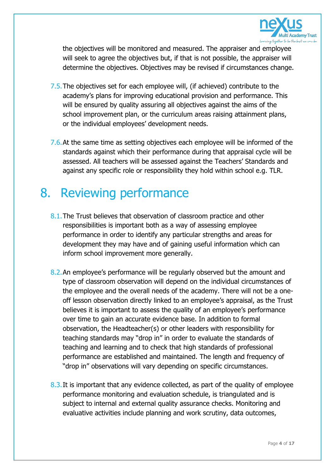

the objectives will be monitored and measured. The appraiser and employee will seek to agree the objectives but, if that is not possible, the appraiser will determine the objectives. Objectives may be revised if circumstances change.

- 7.5.The objectives set for each employee will, (if achieved) contribute to the academy's plans for improving educational provision and performance. This will be ensured by quality assuring all objectives against the aims of the school improvement plan, or the curriculum areas raising attainment plans, or the individual employees' development needs.
- 7.6.At the same time as setting objectives each employee will be informed of the standards against which their performance during that appraisal cycle will be assessed. All teachers will be assessed against the Teachers' Standards and against any specific role or responsibility they hold within school e.g. TLR.

### 8. Reviewing performance

- 8.1. The Trust believes that observation of classroom practice and other responsibilities is important both as a way of assessing employee performance in order to identify any particular strengths and areas for development they may have and of gaining useful information which can inform school improvement more generally.
- 8.2.An employee's performance will be regularly observed but the amount and type of classroom observation will depend on the individual circumstances of the employee and the overall needs of the academy. There will not be a oneoff lesson observation directly linked to an employee's appraisal, as the Trust believes it is important to assess the quality of an employee's performance over time to gain an accurate evidence base. In addition to formal observation, the Headteacher(s) or other leaders with responsibility for teaching standards may "drop in" in order to evaluate the standards of teaching and learning and to check that high standards of professional performance are established and maintained. The length and frequency of "drop in" observations will vary depending on specific circumstances.
- 8.3. It is important that any evidence collected, as part of the quality of employee performance monitoring and evaluation schedule, is triangulated and is subject to internal and external quality assurance checks. Monitoring and evaluative activities include planning and work scrutiny, data outcomes,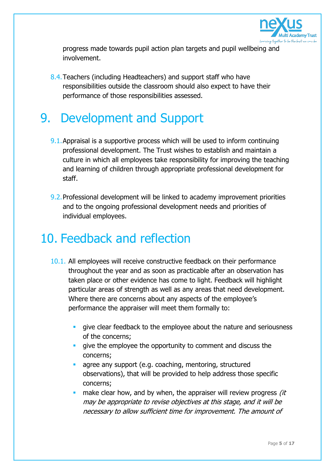

progress made towards pupil action plan targets and pupil wellbeing and involvement.

8.4.Teachers (including Headteachers) and support staff who have responsibilities outside the classroom should also expect to have their performance of those responsibilities assessed.

### 9. Development and Support

- 9.1.Appraisal is a supportive process which will be used to inform continuing professional development. The Trust wishes to establish and maintain a culture in which all employees take responsibility for improving the teaching and learning of children through appropriate professional development for staff.
- 9.2.Professional development will be linked to academy improvement priorities and to the ongoing professional development needs and priorities of individual employees.

### 10. Feedback and reflection

- 10.1. All employees will receive constructive feedback on their performance throughout the year and as soon as practicable after an observation has taken place or other evidence has come to light. Feedback will highlight particular areas of strength as well as any areas that need development. Where there are concerns about any aspects of the employee's performance the appraiser will meet them formally to:
	- qive clear feedback to the employee about the nature and seriousness of the concerns;
	- qive the employee the opportunity to comment and discuss the concerns;
	- **a** agree any support (e.g. coaching, mentoring, structured observations), that will be provided to help address those specific concerns;
	- make clear how, and by when, the appraiser will review progress *(it* may be appropriate to revise objectives at this stage, and it will be necessary to allow sufficient time for improvement. The amount of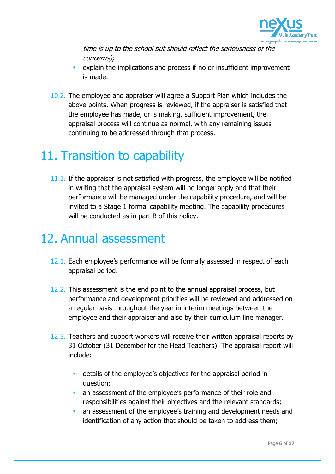

time is up to the school but should reflect the seriousness of the concerns);

- explain the implications and process if no or insufficient improvement is made.
- 10.2. The employee and appraiser will agree a Support Plan which includes the above points. When progress is reviewed, if the appraiser is satisfied that the employee has made, or is making, sufficient improvement, the appraisal process will continue as normal, with any remaining issues continuing to be addressed through that process.

### 11. Transition to capability

11.1. If the appraiser is not satisfied with progress, the employee will be notified in writing that the appraisal system will no longer apply and that their performance will be managed under the capability procedure, and will be invited to a Stage 1 formal capability meeting. The capability procedures will be conducted as in part B of this policy.

### 12. Annual assessment

- 12.1. Each employee's performance will be formally assessed in respect of each appraisal period.
- 12.2. This assessment is the end point to the annual appraisal process, but performance and development priorities will be reviewed and addressed on a regular basis throughout the year in interim meetings between the employee and their appraiser and also by their curriculum line manager.
- 12.3. Teachers and support workers will receive their written appraisal reports by 31 October (31 December for the Head Teachers). The appraisal report will include:
	- details of the employee's objectives for the appraisal period in question;
	- an assessment of the employee's performance of their role and responsibilities against their objectives and the relevant standards;
	- an assessment of the employee's training and development needs and identification of any action that should be taken to address them;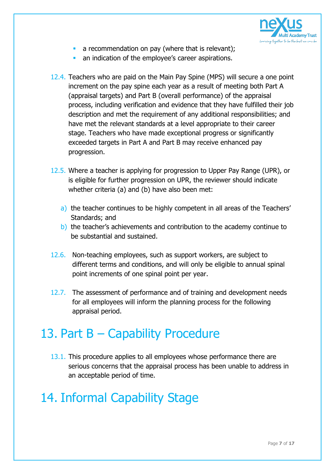

- a recommendation on pay (where that is relevant);
- an indication of the employee's career aspirations.
- 12.4. Teachers who are paid on the Main Pay Spine (MPS) will secure a one point increment on the pay spine each year as a result of meeting both Part A (appraisal targets) and Part B (overall performance) of the appraisal process, including verification and evidence that they have fulfilled their job description and met the requirement of any additional responsibilities; and have met the relevant standards at a level appropriate to their career stage. Teachers who have made exceptional progress or significantly exceeded targets in Part A and Part B may receive enhanced pay progression.
- 12.5. Where a teacher is applying for progression to Upper Pay Range (UPR), or is eligible for further progression on UPR, the reviewer should indicate whether criteria (a) and (b) have also been met:
	- a) the teacher continues to be highly competent in all areas of the Teachers' Standards; and
	- b) the teacher's achievements and contribution to the academy continue to be substantial and sustained.
- 12.6. Non-teaching employees, such as support workers, are subject to different terms and conditions, and will only be eligible to annual spinal point increments of one spinal point per year.
- 12.7. The assessment of performance and of training and development needs for all employees will inform the planning process for the following appraisal period.

## 13. Part B – Capability Procedure

13.1. This procedure applies to all employees whose performance there are serious concerns that the appraisal process has been unable to address in an acceptable period of time.

## 14. Informal Capability Stage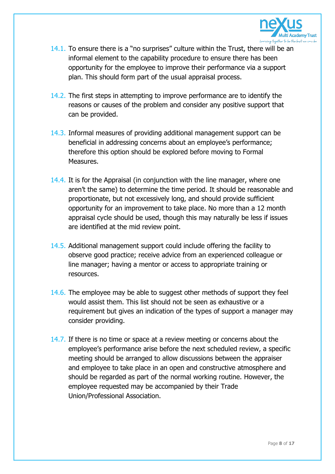

- 14.1. To ensure there is a "no surprises" culture within the Trust, there will be an informal element to the capability procedure to ensure there has been opportunity for the employee to improve their performance via a support plan. This should form part of the usual appraisal process.
- 14.2. The first steps in attempting to improve performance are to identify the reasons or causes of the problem and consider any positive support that can be provided.
- 14.3. Informal measures of providing additional management support can be beneficial in addressing concerns about an employee's performance; therefore this option should be explored before moving to Formal Measures.
- 14.4. It is for the Appraisal (in conjunction with the line manager, where one aren't the same) to determine the time period. It should be reasonable and proportionate, but not excessively long, and should provide sufficient opportunity for an improvement to take place. No more than a 12 month appraisal cycle should be used, though this may naturally be less if issues are identified at the mid review point.
- 14.5. Additional management support could include offering the facility to observe good practice; receive advice from an experienced colleague or line manager; having a mentor or access to appropriate training or resources.
- 14.6. The employee may be able to suggest other methods of support they feel would assist them. This list should not be seen as exhaustive or a requirement but gives an indication of the types of support a manager may consider providing.
- 14.7. If there is no time or space at a review meeting or concerns about the employee's performance arise before the next scheduled review, a specific meeting should be arranged to allow discussions between the appraiser and employee to take place in an open and constructive atmosphere and should be regarded as part of the normal working routine. However, the employee requested may be accompanied by their Trade Union/Professional Association.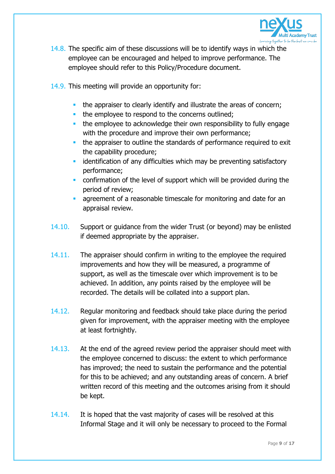

- 14.8. The specific aim of these discussions will be to identify ways in which the employee can be encouraged and helped to improve performance. The employee should refer to this Policy/Procedure document.
- 14.9. This meeting will provide an opportunity for:
	- the appraiser to clearly identify and illustrate the areas of concern;
	- the employee to respond to the concerns outlined;
	- **the employee to acknowledge their own responsibility to fully engage** with the procedure and improve their own performance;
	- the appraiser to outline the standards of performance required to exit the capability procedure;
	- **EXT** identification of any difficulties which may be preventing satisfactory performance;
	- confirmation of the level of support which will be provided during the period of review;
	- agreement of a reasonable timescale for monitoring and date for an appraisal review.
- 14.10. Support or guidance from the wider Trust (or beyond) may be enlisted if deemed appropriate by the appraiser.
- 14.11. The appraiser should confirm in writing to the employee the required improvements and how they will be measured, a programme of support, as well as the timescale over which improvement is to be achieved. In addition, any points raised by the employee will be recorded. The details will be collated into a support plan.
- 14.12. Regular monitoring and feedback should take place during the period given for improvement, with the appraiser meeting with the employee at least fortnightly.
- 14.13. At the end of the agreed review period the appraiser should meet with the employee concerned to discuss: the extent to which performance has improved; the need to sustain the performance and the potential for this to be achieved; and any outstanding areas of concern. A brief written record of this meeting and the outcomes arising from it should be kept.
- 14.14. It is hoped that the vast majority of cases will be resolved at this Informal Stage and it will only be necessary to proceed to the Formal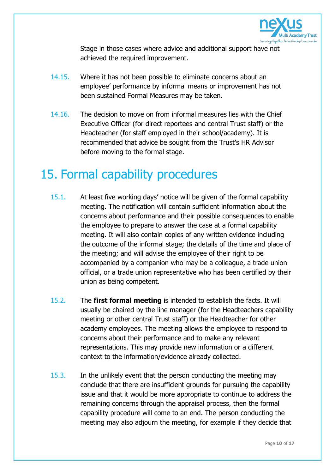

Stage in those cases where advice and additional support have not achieved the required improvement.

- 14.15. Where it has not been possible to eliminate concerns about an employee' performance by informal means or improvement has not been sustained Formal Measures may be taken.
- 14.16. The decision to move on from informal measures lies with the Chief Executive Officer (for direct reportees and central Trust staff) or the Headteacher (for staff employed in their school/academy). It is recommended that advice be sought from the Trust's HR Advisor before moving to the formal stage.

#### 15. Formal capability procedures

- 15.1. At least five working days' notice will be given of the formal capability meeting. The notification will contain sufficient information about the concerns about performance and their possible consequences to enable the employee to prepare to answer the case at a formal capability meeting. It will also contain copies of any written evidence including the outcome of the informal stage; the details of the time and place of the meeting; and will advise the employee of their right to be accompanied by a companion who may be a colleague, a trade union official, or a trade union representative who has been certified by their union as being competent.
- 15.2. The **first formal meeting** is intended to establish the facts. It will usually be chaired by the line manager (for the Headteachers capability meeting or other central Trust staff) or the Headteacher for other academy employees. The meeting allows the employee to respond to concerns about their performance and to make any relevant representations. This may provide new information or a different context to the information/evidence already collected.
- 15.3. In the unlikely event that the person conducting the meeting may conclude that there are insufficient grounds for pursuing the capability issue and that it would be more appropriate to continue to address the remaining concerns through the appraisal process, then the formal capability procedure will come to an end. The person conducting the meeting may also adjourn the meeting, for example if they decide that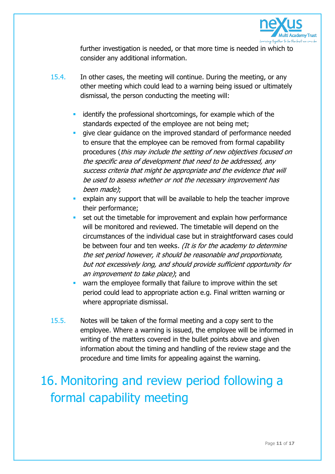

further investigation is needed, or that more time is needed in which to consider any additional information.

- 15.4. In other cases, the meeting will continue. During the meeting, or any other meeting which could lead to a warning being issued or ultimately dismissal, the person conducting the meeting will:
	- identify the professional shortcomings, for example which of the standards expected of the employee are not being met;
	- qive clear quidance on the improved standard of performance needed to ensure that the employee can be removed from formal capability procedures (this may include the setting of new objectives focused on the specific area of development that need to be addressed, any success criteria that might be appropriate and the evidence that will be used to assess whether or not the necessary improvement has been made);
	- explain any support that will be available to help the teacher improve their performance;
	- set out the timetable for improvement and explain how performance will be monitored and reviewed. The timetable will depend on the circumstances of the individual case but in straightforward cases could be between four and ten weeks. (It is for the academy to determine the set period however, it should be reasonable and proportionate, but not excessively long, and should provide sufficient opportunity for an improvement to take place); and
	- warn the employee formally that failure to improve within the set period could lead to appropriate action e.g. Final written warning or where appropriate dismissal.
- 15.5. Notes will be taken of the formal meeting and a copy sent to the employee. Where a warning is issued, the employee will be informed in writing of the matters covered in the bullet points above and given information about the timing and handling of the review stage and the procedure and time limits for appealing against the warning.

# 16. Monitoring and review period following a formal capability meeting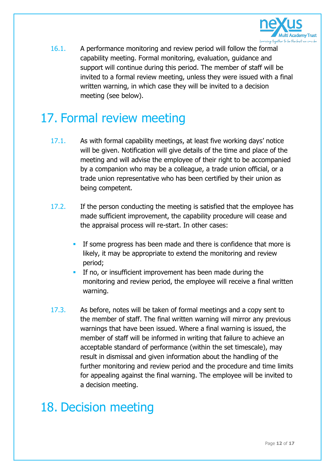

16.1. A performance monitoring and review period will follow the formal capability meeting. Formal monitoring, evaluation, guidance and support will continue during this period. The member of staff will be invited to a formal review meeting, unless they were issued with a final written warning, in which case they will be invited to a decision meeting (see below).

## 17. Formal review meeting

- 17.1. As with formal capability meetings, at least five working days' notice will be given. Notification will give details of the time and place of the meeting and will advise the employee of their right to be accompanied by a companion who may be a colleague, a trade union official, or a trade union representative who has been certified by their union as being competent.
- 17.2. If the person conducting the meeting is satisfied that the employee has made sufficient improvement, the capability procedure will cease and the appraisal process will re-start. In other cases:
	- **If some progress has been made and there is confidence that more is** likely, it may be appropriate to extend the monitoring and review period;
	- **If no, or insufficient improvement has been made during the** monitoring and review period, the employee will receive a final written warning.
- 17.3. As before, notes will be taken of formal meetings and a copy sent to the member of staff. The final written warning will mirror any previous warnings that have been issued. Where a final warning is issued, the member of staff will be informed in writing that failure to achieve an acceptable standard of performance (within the set timescale), may result in dismissal and given information about the handling of the further monitoring and review period and the procedure and time limits for appealing against the final warning. The employee will be invited to a decision meeting.

#### 18. Decision meeting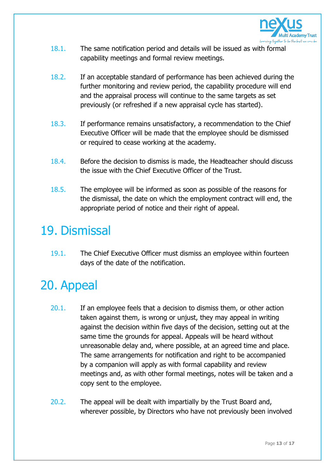

- 18.1. The same notification period and details will be issued as with formal capability meetings and formal review meetings.
- 18.2. If an acceptable standard of performance has been achieved during the further monitoring and review period, the capability procedure will end and the appraisal process will continue to the same targets as set previously (or refreshed if a new appraisal cycle has started).
- 18.3. If performance remains unsatisfactory, a recommendation to the Chief Executive Officer will be made that the employee should be dismissed or required to cease working at the academy.
- 18.4. Before the decision to dismiss is made, the Headteacher should discuss the issue with the Chief Executive Officer of the Trust.
- 18.5. The employee will be informed as soon as possible of the reasons for the dismissal, the date on which the employment contract will end, the appropriate period of notice and their right of appeal.

### 19. Dismissal

19.1. The Chief Executive Officer must dismiss an employee within fourteen days of the date of the notification.

# 20. Appeal

- 20.1. If an employee feels that a decision to dismiss them, or other action taken against them, is wrong or unjust, they may appeal in writing against the decision within five days of the decision, setting out at the same time the grounds for appeal. Appeals will be heard without unreasonable delay and, where possible, at an agreed time and place. The same arrangements for notification and right to be accompanied by a companion will apply as with formal capability and review meetings and, as with other formal meetings, notes will be taken and a copy sent to the employee.
- 20.2. The appeal will be dealt with impartially by the Trust Board and, wherever possible, by Directors who have not previously been involved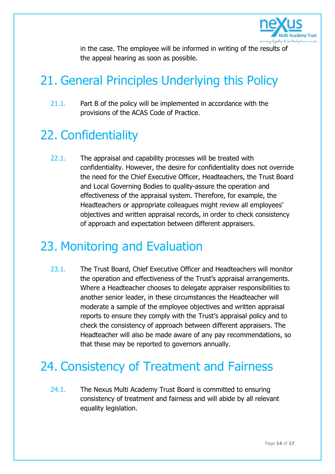

in the case. The employee will be informed in writing of the results of the appeal hearing as soon as possible.

# 21. General Principles Underlying this Policy

21.1. Part B of the policy will be implemented in accordance with the provisions of the ACAS Code of Practice.

# 22. Confidentiality

22.1. The appraisal and capability processes will be treated with confidentiality. However, the desire for confidentiality does not override the need for the Chief Executive Officer, Headteachers, the Trust Board and Local Governing Bodies to quality-assure the operation and effectiveness of the appraisal system. Therefore, for example, the Headteachers or appropriate colleagues might review all employees' objectives and written appraisal records, in order to check consistency of approach and expectation between different appraisers.

### 23. Monitoring and Evaluation

23.1. The Trust Board, Chief Executive Officer and Headteachers will monitor the operation and effectiveness of the Trust's appraisal arrangements. Where a Headteacher chooses to delegate appraiser responsibilities to another senior leader, in these circumstances the Headteacher will moderate a sample of the employee objectives and written appraisal reports to ensure they comply with the Trust's appraisal policy and to check the consistency of approach between different appraisers. The Headteacher will also be made aware of any pay recommendations, so that these may be reported to governors annually.

## 24. Consistency of Treatment and Fairness

24.1. The Nexus Multi Academy Trust Board is committed to ensuring consistency of treatment and fairness and will abide by all relevant equality legislation.